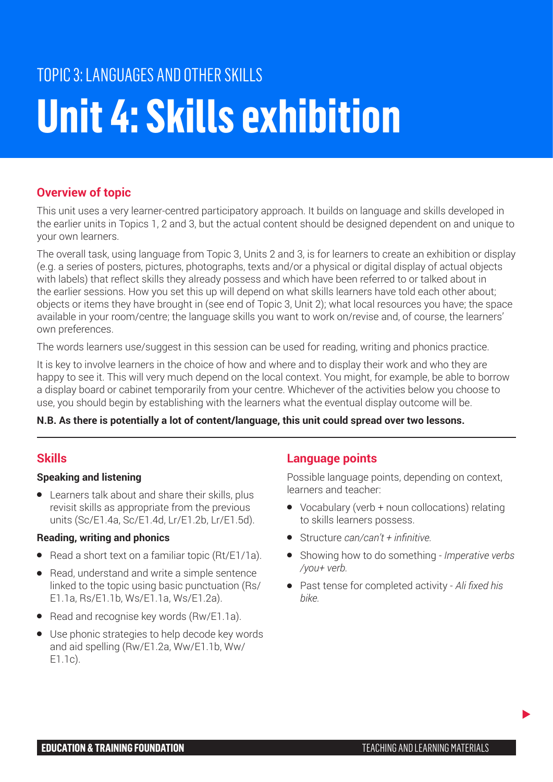# TOPIC 3: LANGUAGES AND OTHER SKILLS **Unit 4: Skills exhibition**

## **Overview of topic**

This unit uses a very learner-centred participatory approach. It builds on language and skills developed in the earlier units in Topics 1, 2 and 3, but the actual content should be designed dependent on and unique to your own learners.

The overall task, using language from Topic 3, Units 2 and 3, is for learners to create an exhibition or display (e.g. a series of posters, pictures, photographs, texts and/or a physical or digital display of actual objects with labels) that reflect skills they already possess and which have been referred to or talked about in the earlier sessions. How you set this up will depend on what skills learners have told each other about; objects or items they have brought in (see end of Topic 3, Unit 2); what local resources you have; the space available in your room/centre; the language skills you want to work on/revise and, of course, the learners' own preferences.

The words learners use/suggest in this session can be used for reading, writing and phonics practice.

It is key to involve learners in the choice of how and where and to display their work and who they are happy to see it. This will very much depend on the local context. You might, for example, be able to borrow a display board or cabinet temporarily from your centre. Whichever of the activities below you choose to use, you should begin by establishing with the learners what the eventual display outcome will be.

#### **N.B. As there is potentially a lot of content/language, this unit could spread over two lessons.**

# **Skills**

## **Speaking and listening**

● Learners talk about and share their skills, plus revisit skills as appropriate from the previous units (Sc/E1.4a, Sc/E1.4d, Lr/E1.2b, Lr/E1.5d).

## **Reading, writing and phonics**

- Read a short text on a familiar topic (Rt/E1/1a).
- Read, understand and write a simple sentence linked to the topic using basic punctuation (Rs/ E1.1a, Rs/E1.1b, Ws/E1.1a, Ws/E1.2a).
- Read and recognise key words (Rw/E1.1a).
- Use phonic strategies to help decode key words and aid spelling (Rw/E1.2a, Ww/E1.1b, Ww/ E1.1c).

# **Language points**

Possible language points, depending on context, learners and teacher:

- Vocabulary (verb + noun collocations) relating to skills learners possess.
- Structure *can/can't + infinitive.*
- Showing how to do something - *Imperative verbs /you+ verb.*
- Past tense for completed activity *Ali fixed his bike.*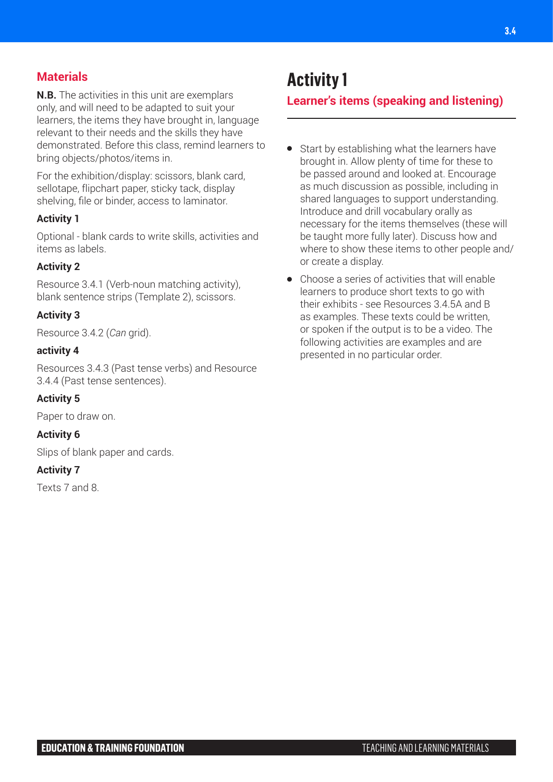## **Materials**

**N.B.** The activities in this unit are exemplars only, and will need to be adapted to suit your learners, the items they have brought in, language relevant to their needs and the skills they have demonstrated. Before this class, remind learners to bring objects/photos/items in.

For the exhibition/display: scissors, blank card, sellotape, flipchart paper, sticky tack, display shelving, file or binder, access to laminator.

#### **Activity 1**

Optional - blank cards to write skills, activities and items as labels.

#### **Activity 2**

Resource 3.4.1 (Verb-noun matching activity), blank sentence strips (Template 2), scissors.

#### **Activity 3**

Resource 3.4.2 (*Can* grid).

#### **activity 4**

Resources 3.4.3 (Past tense verbs) and Resource 3.4.4 (Past tense sentences).

#### **Activity 5**

Paper to draw on.

#### **Activity 6**

Slips of blank paper and cards.

#### **Activity 7**

Texts 7 and 8.

# **Activity 1**

### **Learner's items (speaking and listening)**

- Start by establishing what the learners have brought in. Allow plenty of time for these to be passed around and looked at. Encourage as much discussion as possible, including in shared languages to support understanding. Introduce and drill vocabulary orally as necessary for the items themselves (these will be taught more fully later). Discuss how and where to show these items to other people and/ or create a display.
- Choose a series of activities that will enable learners to produce short texts to go with their exhibits - see Resources 3.4.5A and B as examples. These texts could be written, or spoken if the output is to be a video. The following activities are examples and are presented in no particular order.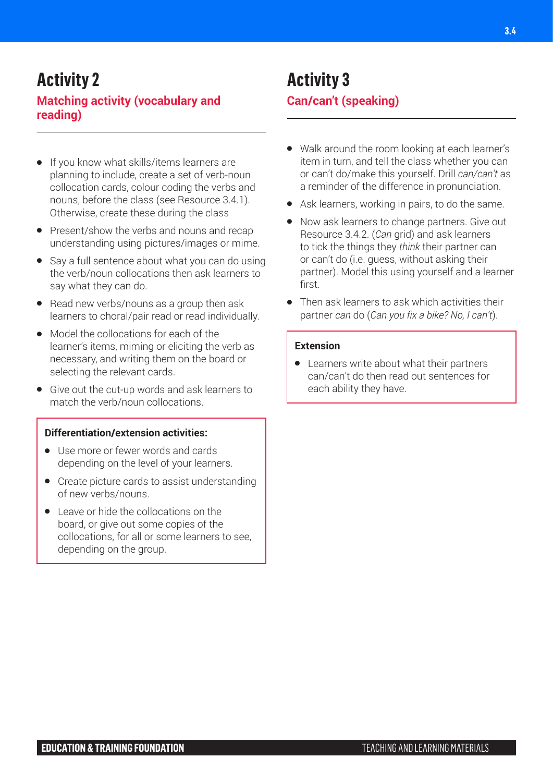# **Activity 2**

# **Matching activity (vocabulary and reading)**

- If you know what skills/items learners are planning to include, create a set of verb-noun collocation cards, colour coding the verbs and nouns, before the class (see Resource 3.4.1). Otherwise, create these during the class
- Present/show the verbs and nouns and recap understanding using pictures/images or mime.
- Say a full sentence about what you can do using the verb/noun collocations then ask learners to say what they can do.
- Read new verbs/nouns as a group then ask learners to choral/pair read or read individually.
- Model the collocations for each of the learner's items, miming or eliciting the verb as necessary, and writing them on the board or selecting the relevant cards.
- Give out the cut-up words and ask learners to match the verb/noun collocations.

#### **Differentiation/extension activities:**

- Use more or fewer words and cards depending on the level of your learners.
- Create picture cards to assist understanding of new verbs/nouns.
- Leave or hide the collocations on the board, or give out some copies of the collocations, for all or some learners to see, depending on the group.

# **Activity 3 Can/can't (speaking)**

- Walk around the room looking at each learner's item in turn, and tell the class whether you can or can't do/make this yourself. Drill *can/can't* as a reminder of the difference in pronunciation.
- Ask learners, working in pairs, to do the same.
- Now ask learners to change partners. Give out Resource 3.4.2. (*Can* grid) and ask learners to tick the things they *think* their partner can or can't do (i.e. guess, without asking their partner). Model this using yourself and a learner first.
- Then ask learners to ask which activities their partner *can* do (*Can you fix a bike? No, I can't*).

#### **Extension**

● Learners write about what their partners can/can't do then read out sentences for each ability they have.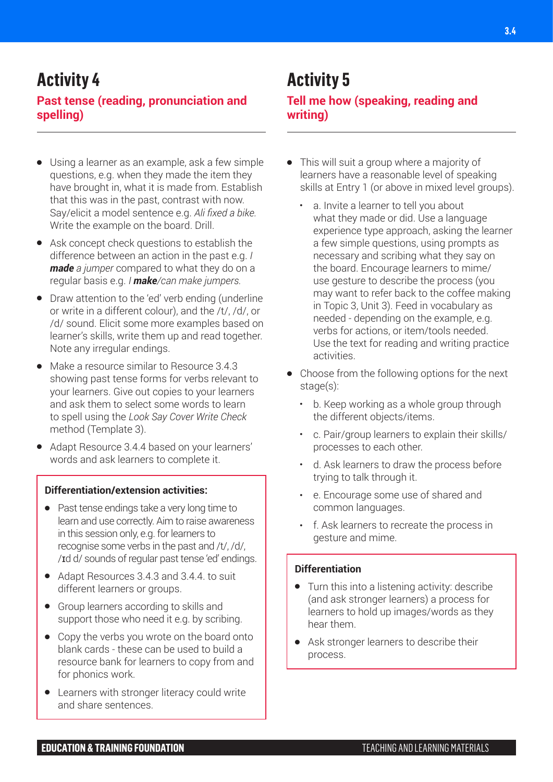# **Activity 4**

## **Past tense (reading, pronunciation and spelling)**

- Using a learner as an example, ask a few simple questions, e.g. when they made the item they have brought in, what it is made from. Establish that this was in the past, contrast with now. Say/elicit a model sentence e.g. *Ali fixed a bike.*  Write the example on the board. Drill.
- Ask concept check questions to establish the difference between an action in the past e.g. *I made a jumper* compared to what they do on a regular basis e.g. *I make/can make jumpers.*
- Draw attention to the 'ed' verb ending (underline or write in a different colour), and the /t/, /d/, or /d/ sound. Elicit some more examples based on learner's skills, write them up and read together. Note any irregular endings.
- Make a resource similar to Resource 3.4.3 showing past tense forms for verbs relevant to your learners. Give out copies to your learners and ask them to select some words to learn to spell using the *Look Say Cover Write Check*  method (Template 3).
- Adapt Resource 3.4.4 based on your learners' words and ask learners to complete it.

#### **Differentiation/extension activities:**

- Past tense endings take a very long time to learn and use correctly. Aim to raise awareness in this session only, e.g. for learners to recognise some verbs in the past and /t/, /d/, /ɪd d/ sounds of regular past tense 'ed' endings.
- Adapt Resources 3.4.3 and 3.4.4. to suit different learners or groups.
- Group learners according to skills and support those who need it e.g. by scribing.
- Copy the verbs you wrote on the board onto blank cards - these can be used to build a resource bank for learners to copy from and for phonics work.
- Learners with stronger literacy could write and share sentences.

# **Activity 5**

## **Tell me how (speaking, reading and writing)**

- This will suit a group where a majority of learners have a reasonable level of speaking skills at Entry 1 (or above in mixed level groups).
	- **•** a. Invite a learner to tell you about what they made or did. Use a language experience type approach, asking the learner a few simple questions, using prompts as necessary and scribing what they say on the board. Encourage learners to mime/ use gesture to describe the process (you may want to refer back to the coffee making in Topic 3, Unit 3). Feed in vocabulary as needed - depending on the example, e.g. verbs for actions, or item/tools needed. Use the text for reading and writing practice activities.
- Choose from the following options for the next stage(s):
	- **•** b. Keep working as a whole group through the different objects/items.
	- **•** c. Pair/group learners to explain their skills/ processes to each other.
	- **•** d. Ask learners to draw the process before trying to talk through it.
	- **•** e. Encourage some use of shared and common languages.
	- **•** f. Ask learners to recreate the process in gesture and mime.

#### **Differentiation**

- Turn this into a listening activity: describe (and ask stronger learners) a process for learners to hold up images/words as they hear them.
- Ask stronger learners to describe their process.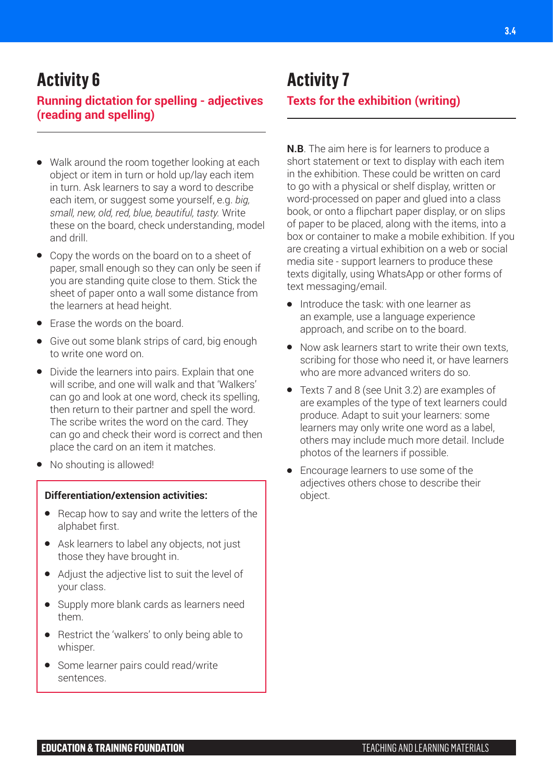# **Activity 6**

## **Running dictation for spelling - adjectives (reading and spelling)**

- Walk around the room together looking at each object or item in turn or hold up/lay each item in turn. Ask learners to say a word to describe each item, or suggest some yourself, e.g. *big, small, new, old, red, blue, beautiful, tasty.* Write these on the board, check understanding, model and drill.
- Copy the words on the board on to a sheet of paper, small enough so they can only be seen if you are standing quite close to them. Stick the sheet of paper onto a wall some distance from the learners at head height.
- Erase the words on the board.
- Give out some blank strips of card, big enough to write one word on.
- Divide the learners into pairs. Explain that one will scribe, and one will walk and that 'Walkers' can go and look at one word, check its spelling, then return to their partner and spell the word. The scribe writes the word on the card. They can go and check their word is correct and then place the card on an item it matches.
- No shouting is allowed!

#### **Differentiation/extension activities:**

- Recap how to say and write the letters of the alphabet first.
- Ask learners to label any objects, not just those they have brought in.
- Adjust the adjective list to suit the level of your class.
- Supply more blank cards as learners need them.
- Restrict the 'walkers' to only being able to whisper.
- Some learner pairs could read/write sentences.

# **Activity 7 Texts for the exhibition (writing)**

**N.B**. The aim here is for learners to produce a short statement or text to display with each item in the exhibition. These could be written on card to go with a physical or shelf display, written or word-processed on paper and glued into a class book, or onto a flipchart paper display, or on slips of paper to be placed, along with the items, into a box or container to make a mobile exhibition. If you are creating a virtual exhibition on a web or social media site - support learners to produce these texts digitally, using WhatsApp or other forms of text messaging/email.

- Introduce the task: with one learner as an example, use a language experience approach, and scribe on to the board.
- Now ask learners start to write their own texts, scribing for those who need it, or have learners who are more advanced writers do so.
- Texts 7 and 8 (see Unit 3.2) are examples of are examples of the type of text learners could produce. Adapt to suit your learners: some learners may only write one word as a label, others may include much more detail. Include photos of the learners if possible.
- Encourage learners to use some of the adjectives others chose to describe their object.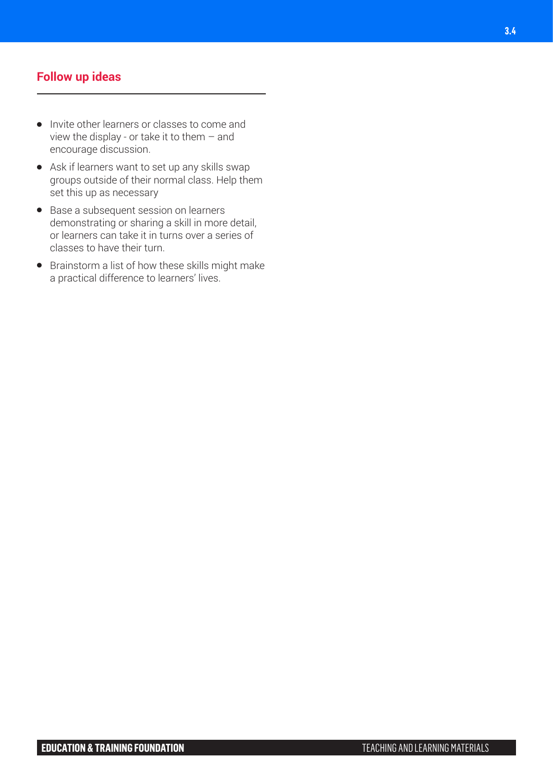## **Follow up ideas**

- Invite other learners or classes to come and view the display - or take it to them – and encourage discussion.
- Ask if learners want to set up any skills swap groups outside of their normal class. Help them set this up as necessary
- Base a subsequent session on learners demonstrating or sharing a skill in more detail, or learners can take it in turns over a series of classes to have their turn.
- Brainstorm a list of how these skills might make a practical difference to learners' lives.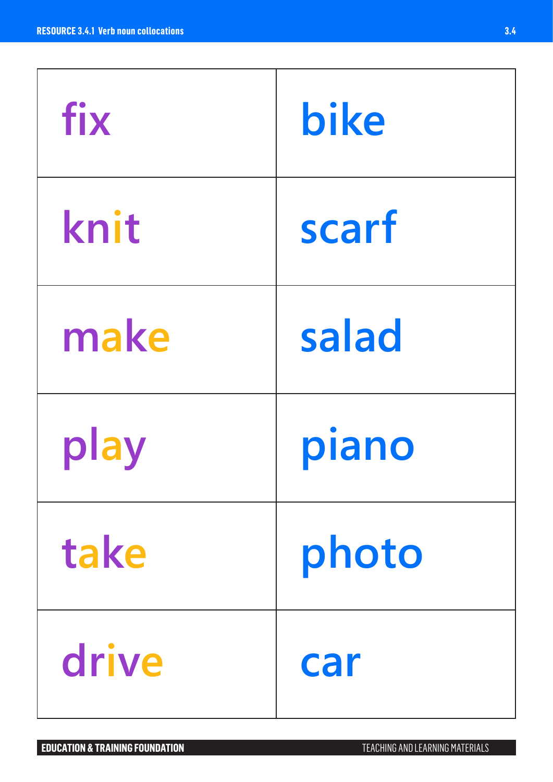| fix   | bike  |
|-------|-------|
| knit  | scarf |
| make  | salad |
| play  | piano |
| take  | photo |
| drive | car   |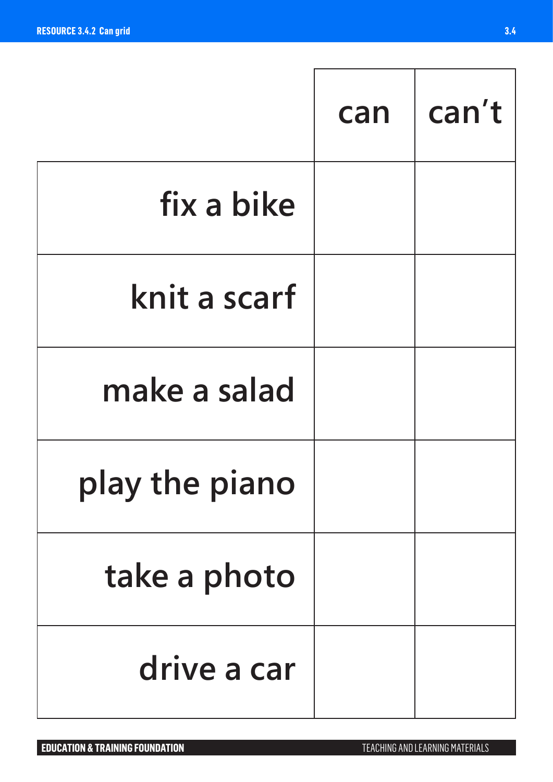|                | can | can't |
|----------------|-----|-------|
| fix a bike     |     |       |
| knit a scarf   |     |       |
| make a salad   |     |       |
| play the piano |     |       |
| take a photo   |     |       |
| drive a car    |     |       |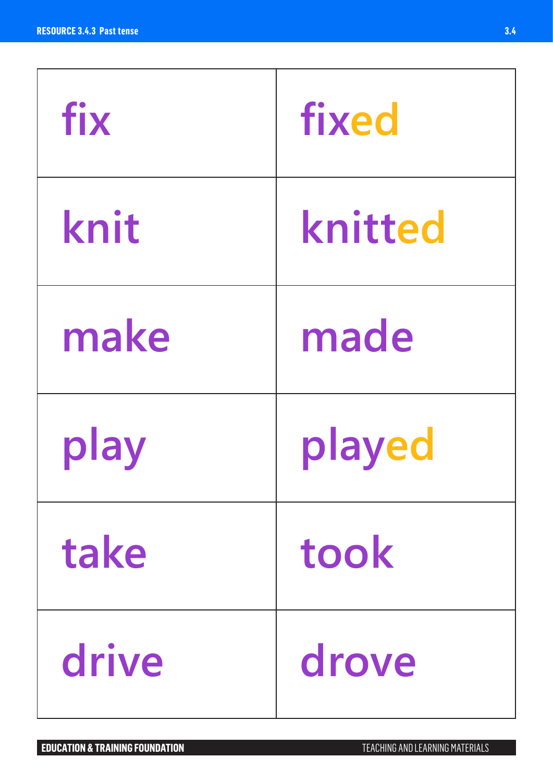| fix   | fixed   |
|-------|---------|
| knit  | knitted |
| make  | made    |
| play  | played  |
| take  | took    |
| drive | drove   |